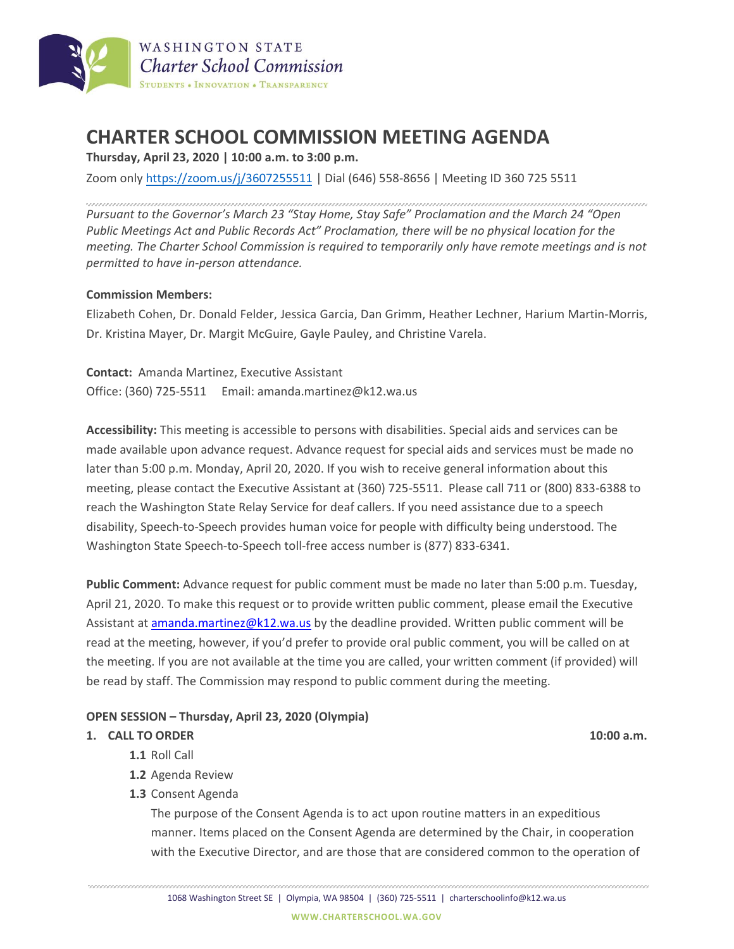

# **CHARTER SCHOOL COMMISSION MEETING AGENDA**

**Thursday, April 23, 2020 | 10:00 a.m. to 3:00 p.m.** 

Zoom onl[y https://zoom.us/j/3607255511](https://zoom.us/j/3607255511) | Dial (646) 558-8656 | Meeting ID 360 725 5511

*Pursuant to the Governor's March 23 "Stay Home, Stay Safe" Proclamation and the March 24 "Open Public Meetings Act and Public Records Act" Proclamation, there will be no physical location for the meeting. The Charter School Commission is required to temporarily only have remote meetings and is not permitted to have in-person attendance.*

## **Commission Members:**

Elizabeth Cohen, Dr. Donald Felder, Jessica Garcia, Dan Grimm, Heather Lechner, Harium Martin-Morris, Dr. Kristina Mayer, Dr. Margit McGuire, Gayle Pauley, and Christine Varela.

**Contact:** Amanda Martinez, Executive Assistant Office: (360) 725-5511 Email: amanda.martinez@k12.wa.us

**Accessibility:** This meeting is accessible to persons with disabilities. Special aids and services can be made available upon advance request. Advance request for special aids and services must be made no later than 5:00 p.m. Monday, April 20, 2020. If you wish to receive general information about this meeting, please contact the Executive Assistant at (360) 725-5511. Please call 711 or (800) 833-6388 to reach the Washington State Relay Service for deaf callers. If you need assistance due to a speech disability, Speech-to-Speech provides human voice for people with difficulty being understood. The Washington State Speech-to-Speech toll-free access number is (877) 833-6341.

**Public Comment:** Advance request for public comment must be made no later than 5:00 p.m. Tuesday, April 21, 2020. To make this request or to provide written public comment, please email the Executive Assistant at [amanda.martinez@k12.wa.us](mailto:amanda.martinez@k12.wa.us) by the deadline provided. Written public comment will be read at the meeting, however, if you'd prefer to provide oral public comment, you will be called on at the meeting. If you are not available at the time you are called, your written comment (if provided) will be read by staff. The Commission may respond to public comment during the meeting.

# **OPEN SESSION – Thursday, April 23, 2020 (Olympia)**

#### **1. CALL TO ORDER 10:00 a.m.**

- **1.1** Roll Call
- **1.2** Agenda Review
- **1.3** Consent Agenda

The purpose of the Consent Agenda is to act upon routine matters in an expeditious manner. Items placed on the Consent Agenda are determined by the Chair, in cooperation with the Executive Director, and are those that are considered common to the operation of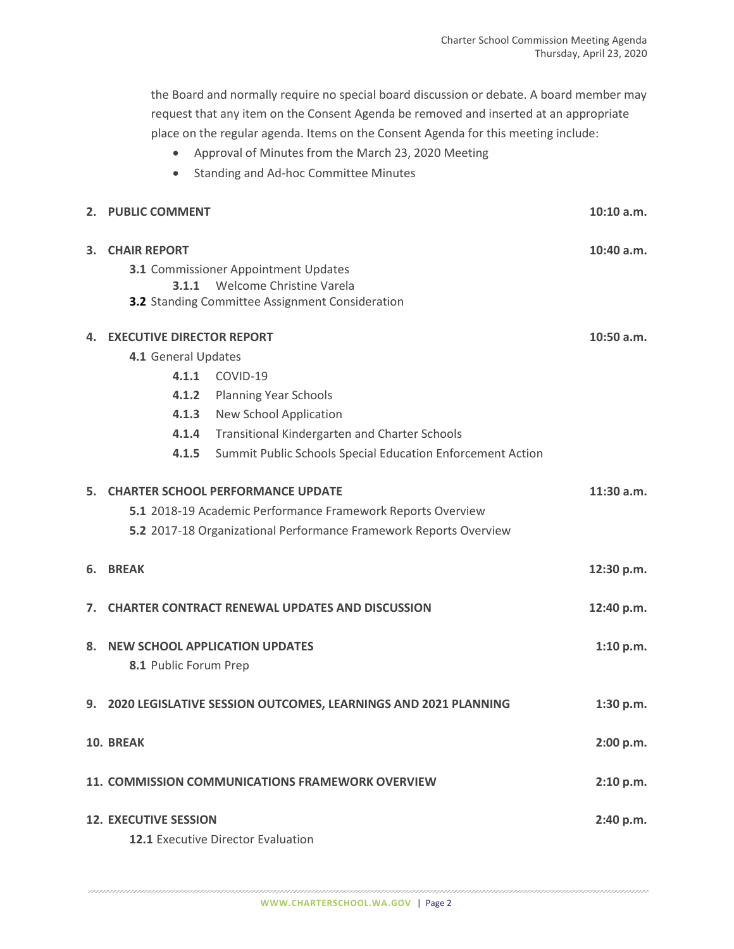the Board and normally require no special board discussion or debate. A board member may request that any item on the Consent Agenda be removed and inserted at an appropriate place on the regular agenda. Items on the Consent Agenda for this meeting include:

- Approval of Minutes from the March 23, 2020 Meeting
- Standing and Ad-hoc Committee Minutes

|                  | 2. PUBLIC COMMENT                                                 |                                                            | $10:10$ a.m. |
|------------------|-------------------------------------------------------------------|------------------------------------------------------------|--------------|
| 3.               | <b>CHAIR REPORT</b>                                               |                                                            | 10:40 a.m.   |
|                  | 3.1 Commissioner Appointment Updates                              |                                                            |              |
|                  |                                                                   | <b>3.1.1</b> Welcome Christine Varela                      |              |
|                  | <b>3.2</b> Standing Committee Assignment Consideration            |                                                            |              |
| 4.               | <b>EXECUTIVE DIRECTOR REPORT</b>                                  |                                                            | 10:50 a.m.   |
|                  | 4.1 General Updates                                               |                                                            |              |
|                  |                                                                   | 4.1.1 COVID-19                                             |              |
|                  | 4.1.2                                                             | <b>Planning Year Schools</b>                               |              |
|                  |                                                                   | 4.1.3 New School Application                               |              |
|                  |                                                                   | 4.1.4 Transitional Kindergarten and Charter Schools        |              |
|                  | 4.1.5                                                             | Summit Public Schools Special Education Enforcement Action |              |
|                  | 5. CHARTER SCHOOL PERFORMANCE UPDATE                              |                                                            | 11:30 a.m.   |
|                  | 5.1 2018-19 Academic Performance Framework Reports Overview       |                                                            |              |
|                  | 5.2 2017-18 Organizational Performance Framework Reports Overview |                                                            |              |
| 6.               | <b>BREAK</b>                                                      |                                                            | 12:30 p.m.   |
|                  | 7. CHARTER CONTRACT RENEWAL UPDATES AND DISCUSSION                |                                                            | 12:40 p.m.   |
| 8.               | <b>NEW SCHOOL APPLICATION UPDATES</b>                             |                                                            | 1:10 p.m.    |
|                  | 8.1 Public Forum Prep                                             |                                                            |              |
|                  | 9. 2020 LEGISLATIVE SESSION OUTCOMES, LEARNINGS AND 2021 PLANNING |                                                            | 1:30 p.m.    |
| <b>10. BREAK</b> |                                                                   |                                                            | 2:00 p.m.    |
|                  | 11. COMMISSION COMMUNICATIONS FRAMEWORK OVERVIEW                  |                                                            | 2:10 p.m.    |
|                  | <b>12. EXECUTIVE SESSION</b>                                      |                                                            | 2:40 p.m.    |
|                  | 12.1 Executive Director Evaluation                                |                                                            |              |